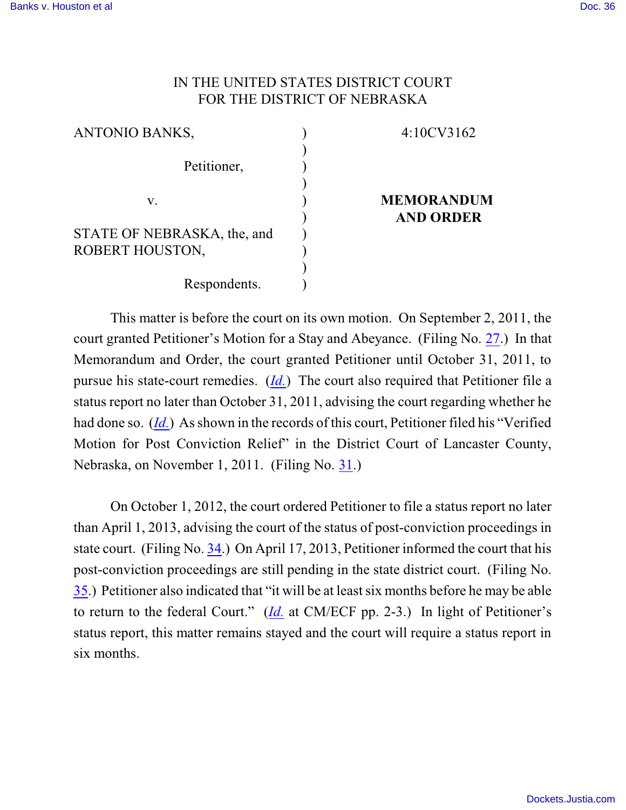## IN THE UNITED STATES DISTRICT COURT FOR THE DISTRICT OF NEBRASKA

| <b>ANTONIO BANKS,</b>       | 4:10CV3162        |
|-----------------------------|-------------------|
|                             |                   |
| Petitioner,                 |                   |
|                             |                   |
| V.                          | <b>MEMORANDUM</b> |
|                             | <b>AND ORDER</b>  |
| STATE OF NEBRASKA, the, and |                   |
| ROBERT HOUSTON,             |                   |
|                             |                   |
| Respondents.                |                   |

This matter is before the court on its own motion. On September 2, 2011, the court granted Petitioner's Motion for a Stay and Abeyance. (Filing No. [27](http://ecf.ned.uscourts.gov/doc1/11302348418).) In that Memorandum and Order, the court granted Petitioner until October 31, 2011, to pursue his state-court remedies. (*[Id.](https://ecf.ned.uscourts.gov/doc1/11312348418)*) The court also required that Petitioner file a status report no later than October 31, 2011, advising the court regarding whether he had done so. (*[Id.](https://ecf.ned.uscourts.gov/doc1/11312348418)*) As shown in the records of this court, Petitioner filed his "Verified Motion for Post Conviction Relief" in the District Court of Lancaster County, Nebraska, on November 1, 2011. (Filing No. [31](https://ecf.ned.uscourts.gov/doc1/11312401915).)

On October 1, 2012, the court ordered Petitioner to file a status report no later than April 1, 2013, advising the court of the status of post-conviction proceedings in state court. (Filing No. [34](http://ecf.ned.uscourts.gov/doc1/11302620382).) On April 17, 2013, Petitioner informed the court that his post-conviction proceedings are still pending in the state district court. (Filing No. [35](http://ecf.ned.uscourts.gov/doc1/11302764243).) Petitioner also indicated that "it will be at leastsix months before he may be able to return to the federal Court." (*[Id.](https://ecf.ned.uscourts.gov/doc1/11312764243)* at CM/ECF pp. 2-3.) In light of Petitioner's status report, this matter remains stayed and the court will require a status report in six months.